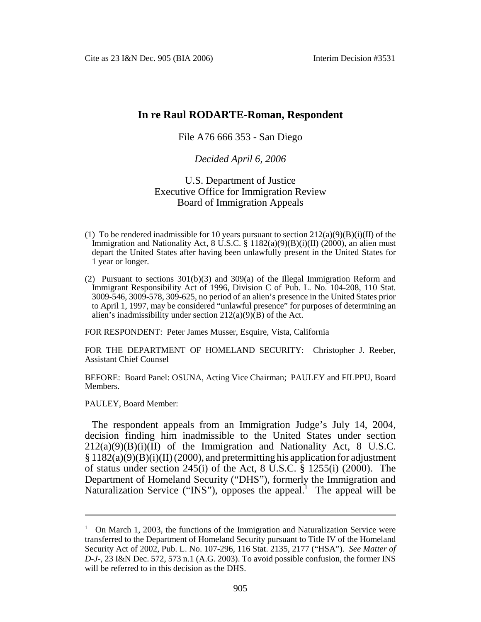# **In re Raul RODARTE-Roman, Respondent**

## File A76 666 353 - San Diego

## *Decided April 6, 2006*

### U.S. Department of Justice Executive Office for Immigration Review Board of Immigration Appeals

- (1) To be rendered inadmissible for 10 years pursuant to section  $212(a)(9)(B)(i)(II)$  of the Immigration and Nationality Act,  $8 \text{ U.S.C.}$   $\frac{20000 \text{ H}}{1182(a)(9)(B)(i)(\text{II})}$  (2000), an alien must depart the United States after having been unlawfully present in the United States for 1 year or longer.
- (2) Pursuant to sections  $301(b)(3)$  and  $309(a)$  of the Illegal Immigration Reform and Immigrant Responsibility Act of 1996, Division C of Pub. L. No. 104-208, 110 Stat. 3009-546, 3009-578, 309-625, no period of an alien's presence in the United States prior to April 1, 1997, may be considered "unlawful presence" for purposes of determining an alien's inadmissibility under section  $212(a)(9)(B)$  of the Act.

FOR RESPONDENT: Peter James Musser, Esquire, Vista, California

FOR THE DEPARTMENT OF HOMELAND SECURITY: Christopher J. Reeber, Assistant Chief Counsel

BEFORE: Board Panel: OSUNA, Acting Vice Chairman; PAULEY and FILPPU, Board Members.

PAULEY, Board Member:

The respondent appeals from an Immigration Judge's July 14, 2004, decision finding him inadmissible to the United States under section  $212(a)(9)(B)(i)(II)$  of the Immigration and Nationality Act, 8 U.S.C.  $\S 1182(a)(9)(B)(i)(II) (2000)$ , and pretermitting his application for adjustment of status under section 245(i) of the Act, 8 U.S.C.  $\hat{\S}$  1255(i) (2000). The Department of Homeland Security ("DHS"), formerly the Immigration and Naturalization Service ("INS"), opposes the appeal.<sup>1</sup> The appeal will be

<sup>&</sup>lt;sup>1</sup> On March 1, 2003, the functions of the Immigration and Naturalization Service were transferred to the Department of Homeland Security pursuant to Title IV of the Homeland Security Act of 2002, Pub. L. No. 107-296, 116 Stat. 2135, 2177 ("HSA"). *See Matter of D-J*-, 23 I&N Dec. 572, 573 n.1 (A.G. 2003). To avoid possible confusion, the former INS will be referred to in this decision as the DHS.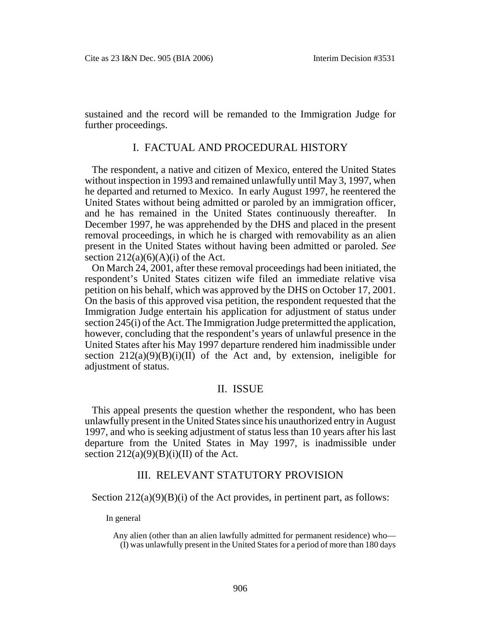sustained and the record will be remanded to the Immigration Judge for further proceedings.

### I. FACTUAL AND PROCEDURAL HISTORY

The respondent, a native and citizen of Mexico, entered the United States without inspection in 1993 and remained unlawfully until May 3, 1997, when he departed and returned to Mexico. In early August 1997, he reentered the United States without being admitted or paroled by an immigration officer, and he has remained in the United States continuously thereafter. In December 1997, he was apprehended by the DHS and placed in the present removal proceedings, in which he is charged with removability as an alien present in the United States without having been admitted or paroled. *See*  section  $212(a)(6)(A)(i)$  of the Act.

On March 24, 2001, after these removal proceedings had been initiated, the respondent's United States citizen wife filed an immediate relative visa petition on his behalf, which was approved by the DHS on October 17, 2001. On the basis of this approved visa petition, the respondent requested that the Immigration Judge entertain his application for adjustment of status under section 245(i) of the Act. The Immigration Judge pretermitted the application, however, concluding that the respondent's years of unlawful presence in the United States after his May 1997 departure rendered him inadmissible under section  $212(a)(9)(B)(i)(II)$  of the Act and, by extension, ineligible for adjustment of status.

## II. ISSUE

This appeal presents the question whether the respondent, who has been unlawfully present in the United States since his unauthorized entry in August 1997, and who is seeking adjustment of status less than 10 years after his last departure from the United States in May 1997, is inadmissible under section  $212(a)(9)(B)(i)(II)$  of the Act.

### III. RELEVANT STATUTORY PROVISION

Section  $212(a)(9)(B)(i)$  of the Act provides, in pertinent part, as follows:

In general

Any alien (other than an alien lawfully admitted for permanent residence) who— (I) was unlawfully present in the United States for a period of more than 180 days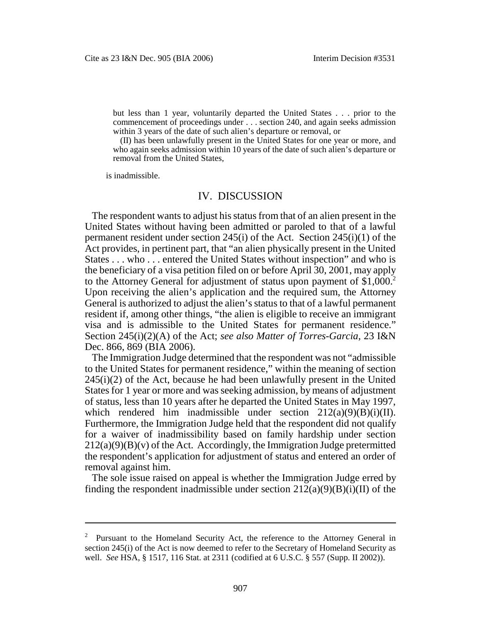but less than 1 year, voluntarily departed the United States . . . prior to the commencement of proceedings under . . . section 240, and again seeks admission within 3 years of the date of such alien's departure or removal, or

(II) has been unlawfully present in the United States for one year or more, and who again seeks admission within 10 years of the date of such alien's departure or removal from the United States,

is inadmissible.

#### IV. DISCUSSION

The respondent wants to adjust his status from that of an alien present in the United States without having been admitted or paroled to that of a lawful permanent resident under section 245(i) of the Act. Section 245(i)(1) of the Act provides, in pertinent part, that "an alien physically present in the United States . . . who . . . entered the United States without inspection" and who is the beneficiary of a visa petition filed on or before April 30, 2001, may apply to the Attorney General for adjustment of status upon payment of \$1,000.<sup>2</sup> Upon receiving the alien's application and the required sum, the Attorney General is authorized to adjust the alien's status to that of a lawful permanent resident if, among other things, "the alien is eligible to receive an immigrant visa and is admissible to the United States for permanent residence." Section 245(i)(2)(A) of the Act; *see also Matter of Torres-Garcia*, 23 I&N Dec. 866, 869 (BIA 2006).

The Immigration Judge determined that the respondent was not "admissible to the United States for permanent residence," within the meaning of section  $245(i)(2)$  of the Act, because he had been unlawfully present in the United States for 1 year or more and was seeking admission, by means of adjustment of status, less than 10 years after he departed the United States in May 1997, which rendered him inadmissible under section  $212(a)(9)(B)(i)(II)$ . Furthermore, the Immigration Judge held that the respondent did not qualify for a waiver of inadmissibility based on family hardship under section  $212(a)(9)(B)(v)$  of the Act. Accordingly, the Immigration Judge pretermitted the respondent's application for adjustment of status and entered an order of removal against him.

The sole issue raised on appeal is whether the Immigration Judge erred by finding the respondent inadmissible under section  $212(a)(9)(B)(i)(II)$  of the

Pursuant to the Homeland Security Act, the reference to the Attorney General in section 245(i) of the Act is now deemed to refer to the Secretary of Homeland Security as well. *See* HSA, § 1517, 116 Stat. at 2311 (codified at 6 U.S.C. § 557 (Supp. II 2002)). 2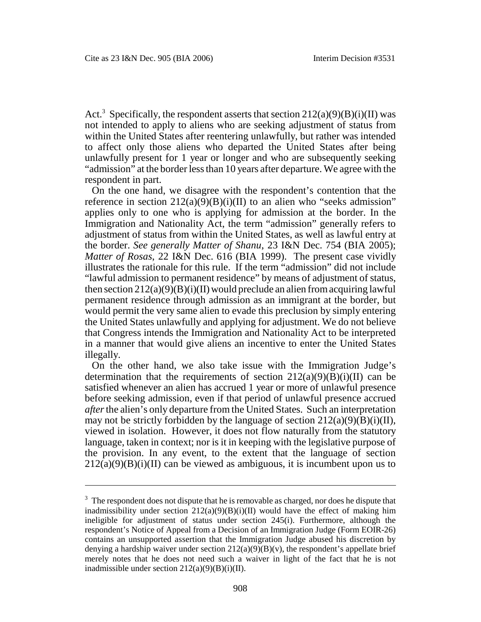Act.<sup>3</sup> Specifically, the respondent asserts that section  $212(a)(9)(B)(i)(II)$  was not intended to apply to aliens who are seeking adjustment of status from within the United States after reentering unlawfully, but rather was intended to affect only those aliens who departed the United States after being unlawfully present for 1 year or longer and who are subsequently seeking "admission" at the border less than 10 years after departure. We agree with the respondent in part.

On the one hand, we disagree with the respondent's contention that the reference in section  $212(a)(9)(B)(i)(II)$  to an alien who "seeks admission" applies only to one who is applying for admission at the border. In the Immigration and Nationality Act, the term "admission" generally refers to adjustment of status from within the United States, as well as lawful entry at the border. *See generally Matter of Shanu*, 23 I&N Dec. 754 (BIA 2005); *Matter of Rosas*, 22 I&N Dec. 616 (BIA 1999). The present case vividly illustrates the rationale for this rule. If the term "admission" did not include "lawful admission to permanent residence" by means of adjustment of status, then section  $212(a)(9)(B)(i)(II)$  would preclude an alien from acquiring lawful permanent residence through admission as an immigrant at the border, but would permit the very same alien to evade this preclusion by simply entering the United States unlawfully and applying for adjustment. We do not believe that Congress intends the Immigration and Nationality Act to be interpreted in a manner that would give aliens an incentive to enter the United States illegally.

On the other hand, we also take issue with the Immigration Judge's determination that the requirements of section  $212(a)(9)(B)(i)(II)$  can be satisfied whenever an alien has accrued 1 year or more of unlawful presence before seeking admission, even if that period of unlawful presence accrued *after* the alien's only departure from the United States. Such an interpretation may not be strictly forbidden by the language of section  $212(a)(9)(B)(i)(II)$ , viewed in isolation. However, it does not flow naturally from the statutory language, taken in context; nor is it in keeping with the legislative purpose of the provision. In any event, to the extent that the language of section  $212(a)(9)(B)(i)(II)$  can be viewed as ambiguous, it is incumbent upon us to

 $3\text{ }$  The respondent does not dispute that he is removable as charged, nor does he dispute that inadmissibility under section  $212(a)(9)(B)(i)(II)$  would have the effect of making him ineligible for adjustment of status under section 245(i). Furthermore, although the respondent's Notice of Appeal from a Decision of an Immigration Judge (Form EOIR-26) contains an unsupported assertion that the Immigration Judge abused his discretion by denying a hardship waiver under section  $212(a)(9)(B)(v)$ , the respondent's appellate brief merely notes that he does not need such a waiver in light of the fact that he is not inadmissible under section  $212(a)(9)(B)(i)(II)$ .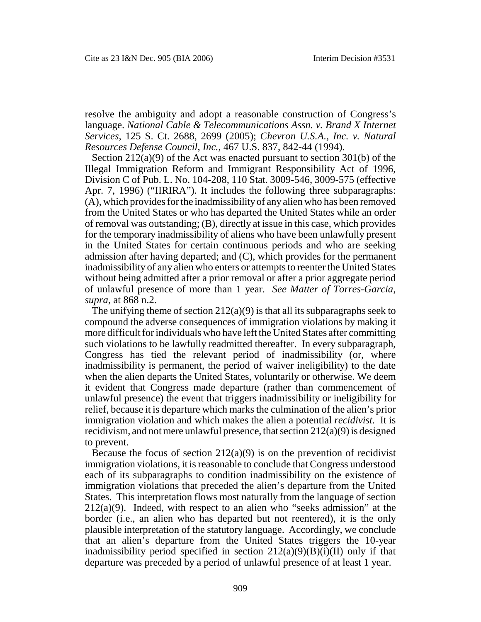resolve the ambiguity and adopt a reasonable construction of Congress's language. *National Cable & Telecommunications Assn. v. Brand X Internet Services*, 125 S. Ct. 2688, 2699 (2005); *Chevron U.S.A., Inc. v. Natural Resources Defense Council*, *Inc.*, 467 U.S. 837, 842-44 (1994).

Section 212(a)(9) of the Act was enacted pursuant to section 301(b) of the Illegal Immigration Reform and Immigrant Responsibility Act of 1996, Division C of Pub. L. No. 104-208, 110 Stat. 3009-546, 3009-575 (effective Apr. 7, 1996) ("IIRIRA"). It includes the following three subparagraphs: (A), which provides for the inadmissibility of any alien who has been removed from the United States or who has departed the United States while an order of removal was outstanding; (B), directly at issue in this case, which provides for the temporary inadmissibility of aliens who have been unlawfully present in the United States for certain continuous periods and who are seeking admission after having departed; and (C), which provides for the permanent inadmissibility of any alien who enters or attempts to reenter the United States without being admitted after a prior removal or after a prior aggregate period of unlawful presence of more than 1 year. *See Matter of Torres-Garcia*, *supra*, at 868 n.2.

The unifying theme of section  $212(a)(9)$  is that all its subparagraphs seek to compound the adverse consequences of immigration violations by making it more difficult for individuals who have left the United States after committing such violations to be lawfully readmitted thereafter. In every subparagraph, Congress has tied the relevant period of inadmissibility (or, where inadmissibility is permanent, the period of waiver ineligibility) to the date when the alien departs the United States, voluntarily or otherwise. We deem it evident that Congress made departure (rather than commencement of unlawful presence) the event that triggers inadmissibility or ineligibility for relief, because it is departure which marks the culmination of the alien's prior immigration violation and which makes the alien a potential *recidivist*. It is recidivism, and not mere unlawful presence, that section 212(a)(9) is designed to prevent.

Because the focus of section  $212(a)(9)$  is on the prevention of recidivist immigration violations, it is reasonable to conclude that Congress understood each of its subparagraphs to condition inadmissibility on the existence of immigration violations that preceded the alien's departure from the United States. This interpretation flows most naturally from the language of section  $212(a)(9)$ . Indeed, with respect to an alien who "seeks admission" at the border (i.e., an alien who has departed but not reentered), it is the only plausible interpretation of the statutory language. Accordingly, we conclude that an alien's departure from the United States triggers the 10-year inadmissibility period specified in section  $212(a)(9)(B)(i)(II)$  only if that departure was preceded by a period of unlawful presence of at least 1 year.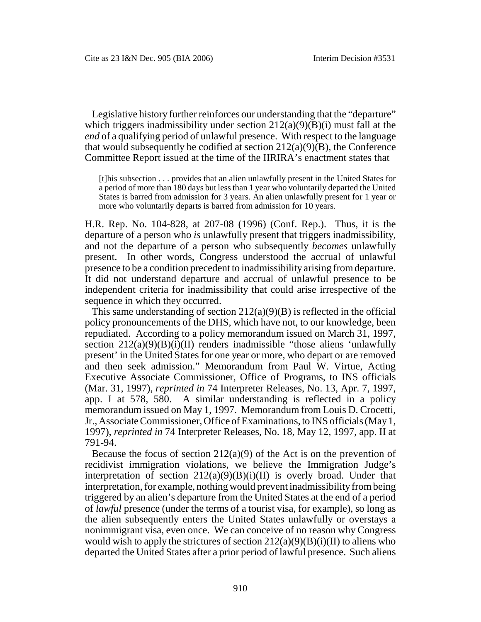Legislative history further reinforces our understanding that the "departure" which triggers inadmissibility under section  $212(a)(9)(B)(i)$  must fall at the *end* of a qualifying period of unlawful presence. With respect to the language that would subsequently be codified at section  $212(a)(9)(B)$ , the Conference Committee Report issued at the time of the IIRIRA's enactment states that

[t]his subsection . . . provides that an alien unlawfully present in the United States for a period of more than 180 days but less than 1 year who voluntarily departed the United States is barred from admission for 3 years. An alien unlawfully present for 1 year or more who voluntarily departs is barred from admission for 10 years.

H.R. Rep. No. 104-828, at 207-08 (1996) (Conf. Rep.). Thus, it is the departure of a person who *is* unlawfully present that triggers inadmissibility, and not the departure of a person who subsequently *becomes* unlawfully present. In other words, Congress understood the accrual of unlawful presence to be a condition precedent to inadmissibility arising from departure. It did not understand departure and accrual of unlawful presence to be independent criteria for inadmissibility that could arise irrespective of the sequence in which they occurred.

This same understanding of section  $212(a)(9)(B)$  is reflected in the official policy pronouncements of the DHS, which have not, to our knowledge, been repudiated. According to a policy memorandum issued on March 31, 1997, section  $212(a)(9)(B)(i)(II)$  renders inadmissible "those aliens 'unlawfully present' in the United States for one year or more, who depart or are removed and then seek admission." Memorandum from Paul W. Virtue, Acting Executive Associate Commissioner, Office of Programs, to INS officials (Mar. 31, 1997), *reprinted in* 74 Interpreter Releases, No. 13, Apr. 7, 1997, app. I at 578, 580. A similar understanding is reflected in a policy memorandum issued on May 1, 1997. Memorandum from Louis D. Crocetti, Jr., Associate Commissioner, Office of Examinations, to INS officials (May 1, 1997), *reprinted in* 74 Interpreter Releases, No. 18, May 12, 1997, app. II at 791-94.

Because the focus of section 212(a)(9) of the Act is on the prevention of recidivist immigration violations, we believe the Immigration Judge's interpretation of section  $212(a)(9)(B)(i)(II)$  is overly broad. Under that interpretation, for example, nothing would prevent inadmissibility from being triggered by an alien's departure from the United States at the end of a period of *lawful* presence (under the terms of a tourist visa, for example), so long as the alien subsequently enters the United States unlawfully or overstays a nonimmigrant visa, even once. We can conceive of no reason why Congress would wish to apply the strictures of section  $212(a)(9)(B)(i)(II)$  to aliens who departed the United States after a prior period of lawful presence. Such aliens